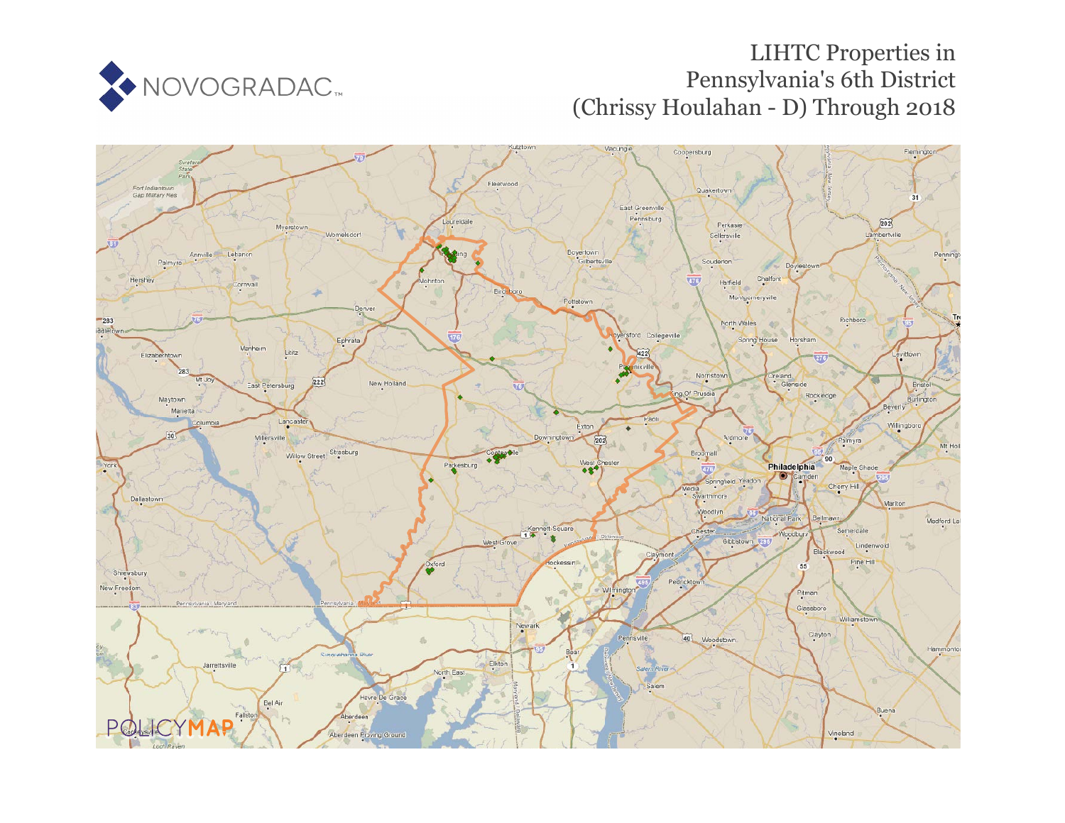

# LIHTC Properties in Pennsylvania's 6th District (Chrissy Houlahan - D) Through 2018

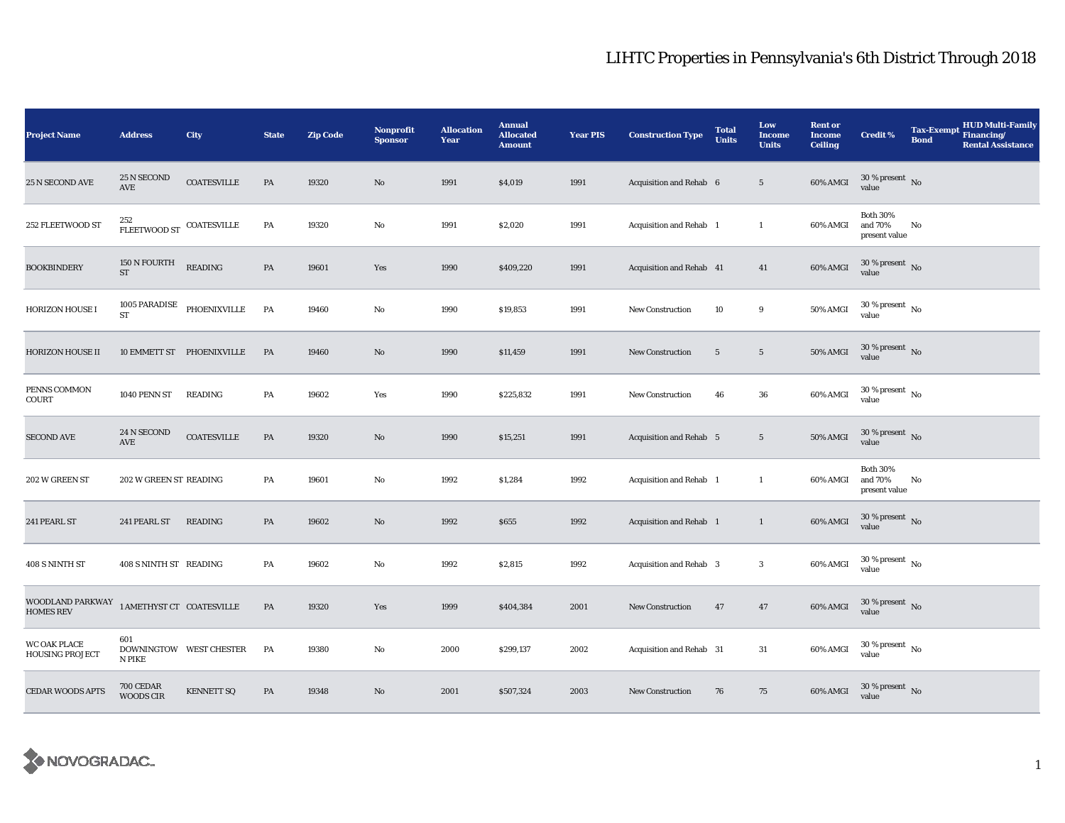| <b>Project Name</b>                    | <b>Address</b>                      | City                      | <b>State</b> | <b>Zip Code</b> | <b>Nonprofit</b><br><b>Sponsor</b> | <b>Allocation</b><br>Year | <b>Annual</b><br><b>Allocated</b><br><b>Amount</b> | <b>Year PIS</b> | <b>Construction Type</b>       | <b>Total</b><br><b>Units</b> | Low<br><b>Income</b><br><b>Units</b> | <b>Rent or</b><br><b>Income</b><br><b>Ceiling</b> | <b>Credit %</b>                             | <b>Bond</b> | <b>HUD Multi-Family</b><br>Tax-Exempt Financing/<br><b>Rental Assistance</b> |
|----------------------------------------|-------------------------------------|---------------------------|--------------|-----------------|------------------------------------|---------------------------|----------------------------------------------------|-----------------|--------------------------------|------------------------------|--------------------------------------|---------------------------------------------------|---------------------------------------------|-------------|------------------------------------------------------------------------------|
| 25 N SECOND AVE                        | 25 N SECOND<br>AVE                  | <b>COATESVILLE</b>        | PA           | 19320           | $\mathbf{N}\mathbf{o}$             | 1991                      | \$4,019                                            | 1991            | Acquisition and Rehab 6        |                              | $5\phantom{.0}$                      | 60% AMGI                                          | $30$ % present $\,$ No $\,$<br>value        |             |                                                                              |
| 252 FLEETWOOD ST                       | 252<br>FLEETWOOD ST COATESVILLE     |                           | PA           | 19320           | $\rm No$                           | 1991                      | \$2,020                                            | 1991            | Acquisition and Rehab 1        |                              | $\mathbf{1}$                         | 60% AMGI                                          | <b>Both 30%</b><br>and 70%<br>present value | No          |                                                                              |
| <b>BOOKBINDERY</b>                     | 150 N FOURTH<br>$\operatorname{ST}$ | <b>READING</b>            | PA           | 19601           | Yes                                | 1990                      | \$409,220                                          | 1991            | Acquisition and Rehab 41       |                              | 41                                   | 60% AMGI                                          | $30\,\%$ present $\,$ No value              |             |                                                                              |
| <b>HORIZON HOUSE I</b>                 | <b>1005 PARADISE</b><br>${\rm ST}$  | PHOENIXVILLE              | PA           | 19460           | No                                 | 1990                      | \$19,853                                           | 1991            | New Construction               | 10                           | 9                                    | 50% AMGI                                          | $30$ % present $\,$ No $\,$<br>value        |             |                                                                              |
| <b>HORIZON HOUSE II</b>                |                                     | 10 EMMETT ST PHOENIXVILLE | PA           | 19460           | No                                 | 1990                      | \$11,459                                           | 1991            | New Construction               | $\overline{5}$               | $5\phantom{.0}$                      | 50% AMGI                                          | $30$ % present $\,$ No $\,$<br>value        |             |                                                                              |
| PENNS COMMON<br>COURT                  | 1040 PENN ST                        | <b>READING</b>            | PA           | 19602           | Yes                                | 1990                      | \$225,832                                          | 1991            | New Construction               | 46                           | ${\bf 36}$                           | 60% AMGI                                          | $30$ % present $\,$ No $\,$<br>value        |             |                                                                              |
| <b>SECOND AVE</b>                      | 24 N SECOND<br>$\operatorname{AVE}$ | <b>COATESVILLE</b>        | PA           | 19320           | No                                 | 1990                      | \$15,251                                           | 1991            | <b>Acquisition and Rehab 5</b> |                              | $5\phantom{.0}$                      | 50% AMGI                                          | $30$ % present $\,$ No $\,$<br>value        |             |                                                                              |
| 202 W GREEN ST                         | 202 W GREEN ST READING              |                           | PA           | 19601           | No                                 | 1992                      | \$1,284                                            | 1992            | Acquisition and Rehab 1        |                              | 1                                    | 60% AMGI                                          | <b>Both 30%</b><br>and 70%<br>present value | No          |                                                                              |
| 241 PEARL ST                           | 241 PEARL ST                        | READING                   | PA           | 19602           | No                                 | 1992                      | \$655                                              | 1992            | Acquisition and Rehab 1        |                              | $\mathbf{1}$                         | 60% AMGI                                          | $30$ % present $\,$ No $\,$<br>value        |             |                                                                              |
| 408 S NINTH ST                         | 408 S NINTH ST READING              |                           | PA           | 19602           | No                                 | 1992                      | \$2,815                                            | 1992            | Acquisition and Rehab 3        |                              | $\mathbf{3}$                         | 60% AMGI                                          | $30$ % present $\,$ No $\,$<br>value        |             |                                                                              |
| WOODLAND PARKWAY<br><b>HOMES REV</b>   | 1 AMETHYST CT COATESVILLE           |                           | PA           | 19320           | Yes                                | 1999                      | \$404,384                                          | 2001            | New Construction               | 47                           | 47                                   | 60% AMGI                                          | $30$ % present $\,$ No $\,$<br>value        |             |                                                                              |
| WC OAK PLACE<br><b>HOUSING PROJECT</b> | 601<br>N PIKE                       | DOWNINGTOW WEST CHESTER   | PA           | 19380           | $\rm No$                           | 2000                      | \$299,137                                          | 2002            | Acquisition and Rehab 31       |                              | 31                                   | 60% AMGI                                          | $30$ % present $\,$ No value                |             |                                                                              |
| <b>CEDAR WOODS APTS</b>                | <b>700 CEDAR</b><br>WOODS CIR       | <b>KENNETT SQ</b>         | PA           | 19348           | No                                 | 2001                      | \$507,324                                          | 2003            | <b>New Construction</b>        | 76                           | 75                                   | 60% AMGI                                          | 30 % present $\hbox{~No}$<br>value          |             |                                                                              |

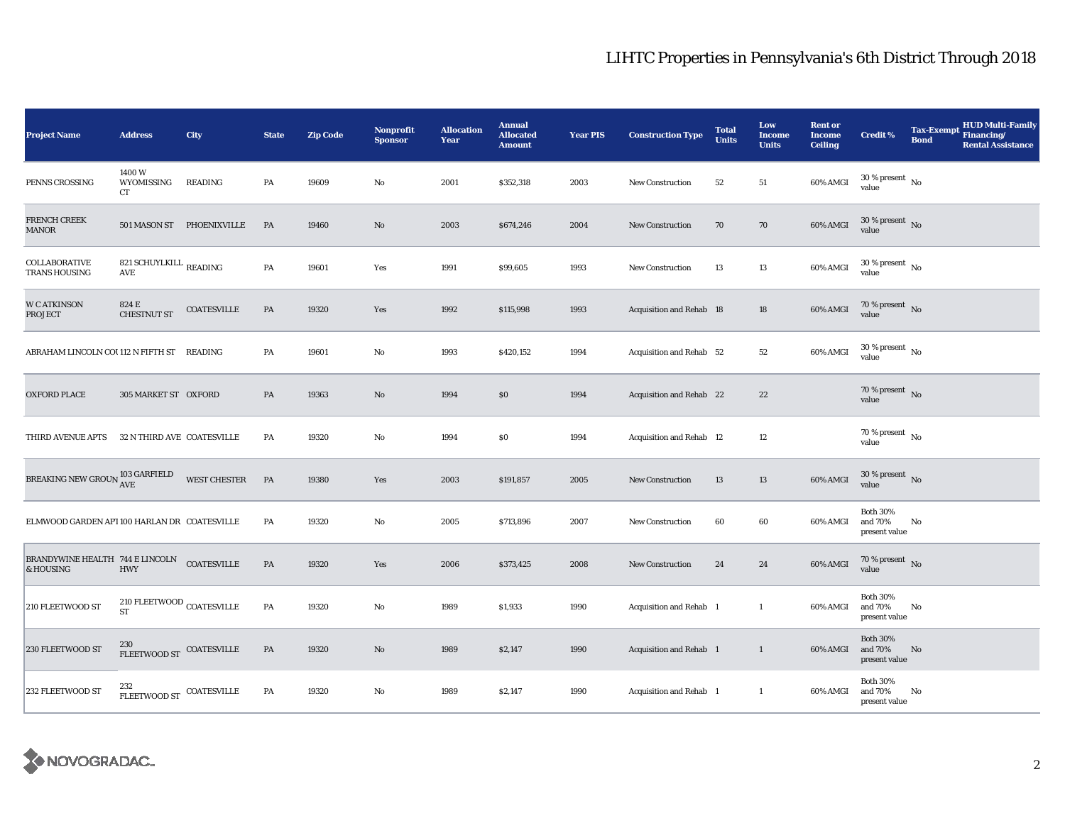| <b>Project Name</b>                          | <b>Address</b>                                  | City                      | <b>State</b>  | <b>Zip Code</b> | Nonprofit<br><b>Sponsor</b> | <b>Allocation</b><br>Year | <b>Annual</b><br><b>Allocated</b><br><b>Amount</b> | <b>Year PIS</b> | <b>Construction Type</b>        | <b>Total</b><br><b>Units</b> | Low<br><b>Income</b><br><b>Units</b> | <b>Rent or</b><br><b>Income</b><br><b>Ceiling</b> | <b>Credit %</b>                             | <b>Tax-Exempt</b><br><b>Bond</b> | <b>HUD Multi-Family</b><br>Financing/<br><b>Rental Assistance</b> |
|----------------------------------------------|-------------------------------------------------|---------------------------|---------------|-----------------|-----------------------------|---------------------------|----------------------------------------------------|-----------------|---------------------------------|------------------------------|--------------------------------------|---------------------------------------------------|---------------------------------------------|----------------------------------|-------------------------------------------------------------------|
| PENNS CROSSING                               | 1400W<br>WYOMISSING<br>CT                       | <b>READING</b>            | PA            | 19609           | No                          | 2001                      | \$352,318                                          | 2003            | <b>New Construction</b>         | 52                           | 51                                   | 60% AMGI                                          | $30\,\%$ present $\,$ No value              |                                  |                                                                   |
| FRENCH CREEK<br><b>MANOR</b>                 |                                                 | 501 MASON ST PHOENIXVILLE | PA            | 19460           | No                          | 2003                      | \$674,246                                          | 2004            | <b>New Construction</b>         | 70                           | 70                                   | 60% AMGI                                          | $30\,\%$ present $\,$ No $\,$<br>value      |                                  |                                                                   |
| COLLABORATIVE<br><b>TRANS HOUSING</b>        | 821 SCHUYLKILL $_{\rm READING}$<br>AVE          |                           | PA            | 19601           | Yes                         | 1991                      | \$99,605                                           | 1993            | New Construction                | 13                           | 13                                   | 60% AMGI                                          | $30$ % present $\,$ No $\,$<br>value        |                                  |                                                                   |
| <b>W C ATKINSON</b><br><b>PROJECT</b>        | 824 E<br><b>CHESTNUT ST</b>                     | <b>COATESVILLE</b>        | PA            | 19320           | Yes                         | 1992                      | \$115,998                                          | 1993            | Acquisition and Rehab 18        |                              | 18                                   | 60% AMGI                                          | 70 % present $\hbox{~No}$<br>value          |                                  |                                                                   |
| ABRAHAM LINCOLN COU112 N FIFTH ST READING    |                                                 |                           | PA            | 19601           | No                          | 1993                      | \$420,152                                          | 1994            | Acquisition and Rehab 52        |                              | $^{\rm 52}$                          | 60% AMGI                                          | $30$ % present $\,$ No $\,$<br>value        |                                  |                                                                   |
| <b>OXFORD PLACE</b>                          | 305 MARKET ST OXFORD                            |                           | PA            | 19363           | No                          | 1994                      | \$0                                                | 1994            | Acquisition and Rehab 22        |                              | 22                                   |                                                   | 70 % present $\hbox{~No}$<br>value          |                                  |                                                                   |
| <b>THIRD AVENUE APTS</b>                     | 32 N THIRD AVE COATESVILLE                      |                           | PA            | 19320           | No                          | 1994                      | \$0                                                | 1994            | <b>Acquisition and Rehab 12</b> |                              | 12                                   |                                                   | $70$ % present $\,$ No $\,$<br>value        |                                  |                                                                   |
| BREAKING NEW GROUN $^{103}_{\rm{AVE}}$       |                                                 | WEST CHESTER              | PA            | 19380           | Yes                         | 2003                      | \$191,857                                          | 2005            | New Construction                | 13                           | 13                                   | 60% AMGI                                          | $30$ % present $\,$ No $\,$<br>value        |                                  |                                                                   |
| ELMWOOD GARDEN API 100 HARLAN DR COATESVILLE |                                                 |                           | PA            | 19320           | No                          | 2005                      | \$713,896                                          | 2007            | <b>New Construction</b>         | 60                           | 60                                   | 60% AMGI                                          | <b>Both 30%</b><br>and 70%<br>present value | No                               |                                                                   |
| BRANDYWINE HEALTH 744 E LINCOLN<br>& HOUSING | <b>HWY</b>                                      | <b>COATESVILLE</b>        | PA            | 19320           | Yes                         | 2006                      | \$373,425                                          | 2008            | <b>New Construction</b>         | 24                           | 24                                   | 60% AMGI                                          | $70\,\%$ present $\,$ No value              |                                  |                                                                   |
| 210 FLEETWOOD ST                             | $210\ {\rm FLEETWOOD}$ COATESVILLE<br><b>ST</b> |                           | PA            | 19320           | No                          | 1989                      | \$1,933                                            | 1990            | Acquisition and Rehab 1         |                              | $\mathbf{1}$                         | 60% AMGI                                          | <b>Both 30%</b><br>and 70%<br>present value | No                               |                                                                   |
| 230 FLEETWOOD ST                             | 230<br>FLEETWOOD ST COATESVILLE                 |                           | $\mathbf{PA}$ | 19320           | No                          | 1989                      | \$2,147                                            | 1990            | <b>Acquisition and Rehab</b> 1  |                              | $\mathbf{1}$                         | 60% AMGI                                          | <b>Both 30%</b><br>and 70%<br>present value | No                               |                                                                   |
| 232 FLEETWOOD ST                             | 232<br>FLEETWOOD ST COATESVILLE                 |                           | PA            | 19320           | No                          | 1989                      | \$2,147                                            | 1990            | Acquisition and Rehab 1         |                              | $\mathbf{1}$                         | 60% AMGI                                          | <b>Both 30%</b><br>and 70%<br>present value | No                               |                                                                   |

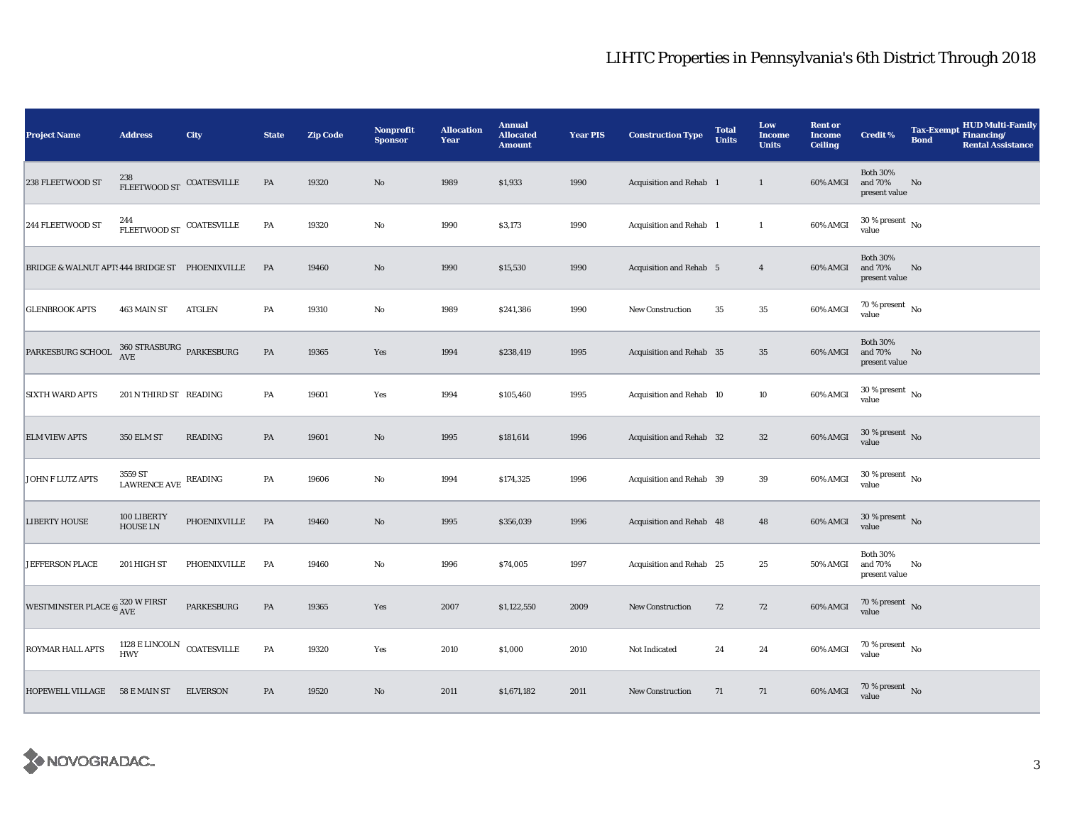| <b>Project Name</b>                                                       | <b>Address</b>                                             | City            | <b>State</b>  | <b>Zip Code</b> | <b>Nonprofit</b><br><b>Sponsor</b> | <b>Allocation</b><br>Year | <b>Annual</b><br><b>Allocated</b><br><b>Amount</b> | <b>Year PIS</b> | <b>Construction Type</b> | <b>Total</b><br><b>Units</b> | Low<br><b>Income</b><br><b>Units</b> | <b>Rent or</b><br><b>Income</b><br><b>Ceiling</b> | <b>Credit %</b>                             | <b>Tax-Exempt</b><br><b>Bond</b> | HUD Multi-Family<br>Financing/<br><b>Rental Assistance</b> |
|---------------------------------------------------------------------------|------------------------------------------------------------|-----------------|---------------|-----------------|------------------------------------|---------------------------|----------------------------------------------------|-----------------|--------------------------|------------------------------|--------------------------------------|---------------------------------------------------|---------------------------------------------|----------------------------------|------------------------------------------------------------|
| 238 FLEETWOOD ST                                                          | FLEETWOOD ST COATESVILLE                                   |                 | PA            | 19320           | $\mathbf{No}$                      | 1989                      | \$1,933                                            | 1990            | Acquisition and Rehab 1  |                              | $\mathbf{1}$                         | 60% AMGI                                          | <b>Both 30%</b><br>and 70%<br>present value | No                               |                                                            |
| 244 FLEETWOOD ST                                                          | 244<br>${\tt FLEETWOOD\ ST}$ COATESVILLE                   |                 | PA            | 19320           | No                                 | 1990                      | \$3,173                                            | 1990            | Acquisition and Rehab 1  |                              | $\mathbf{1}$                         | 60% AMGI                                          | $30\,\%$ present $\,$ No $\,$<br>value      |                                  |                                                            |
| BRIDGE & WALNUT APT: 444 BRIDGE ST PHOENIXVILLE                           |                                                            |                 | PA            | 19460           | $\mathbf{N}\mathbf{o}$             | 1990                      | \$15,530                                           | 1990            | Acquisition and Rehab 5  |                              | $\overline{4}$                       | 60% AMGI                                          | <b>Both 30%</b><br>and 70%<br>present value | No                               |                                                            |
| <b>GLENBROOK APTS</b>                                                     | 463 MAIN ST                                                | <b>ATGLEN</b>   | PA            | 19310           | $\rm No$                           | 1989                      | \$241,386                                          | 1990            | New Construction         | 35                           | $\bf 35$                             | 60% AMGI                                          | 70 % present $\hbox{~No}$<br>value          |                                  |                                                            |
| PARKESBURG SCHOOL                                                         | $360\, {\rm STRASBURG}$ PARKESBURG<br>$\operatorname{AVE}$ |                 | PA            | 19365           | Yes                                | 1994                      | \$238,419                                          | 1995            | Acquisition and Rehab 35 |                              | $35\,$                               | 60% AMGI                                          | <b>Both 30%</b><br>and 70%<br>present value | No                               |                                                            |
| <b>SIXTH WARD APTS</b>                                                    | 201 N THIRD ST READING                                     |                 | PA            | 19601           | Yes                                | 1994                      | \$105,460                                          | 1995            | Acquisition and Rehab 10 |                              | 10                                   | 60% AMGI                                          | $30$ % present $\,$ No $\,$<br>value        |                                  |                                                            |
| <b>ELM VIEW APTS</b>                                                      | <b>350 ELM ST</b>                                          | <b>READING</b>  | PA            | 19601           | $\mathbf{No}$                      | 1995                      | \$181,614                                          | 1996            | Acquisition and Rehab 32 |                              | $32\,$                               | 60% AMGI                                          | $30\,\%$ present $\,$ No value              |                                  |                                                            |
| JOHN F LUTZ APTS                                                          | 3559 ST<br>LAWRENCE AVE                                    | READING         | PA            | 19606           | No                                 | 1994                      | \$174,325                                          | 1996            | Acquisition and Rehab 39 |                              | 39                                   | 60% AMGI                                          | $30$ % present $\,$ No value                |                                  |                                                            |
| <b>LIBERTY HOUSE</b>                                                      | 100 LIBERTY<br>HOUSE LN                                    | PHOENIXVILLE    | PA            | 19460           | No                                 | 1995                      | \$356,039                                          | 1996            | Acquisition and Rehab 48 |                              | 48                                   | 60% AMGI                                          | $30$ % present $\,$ No value                |                                  |                                                            |
| <b>JEFFERSON PLACE</b>                                                    | 201 HIGH ST                                                | PHOENIXVILLE    | PA            | 19460           | $\rm No$                           | 1996                      | \$74,005                                           | 1997            | Acquisition and Rehab 25 |                              | 25                                   | 50% AMGI                                          | <b>Both 30%</b><br>and 70%<br>present value | No                               |                                                            |
| WESTMINSTER PLACE $\textcircled{e}\,^{\text{320\,W\,FIRST}}_{\text{AVE}}$ |                                                            | PARKESBURG      | PA            | 19365           | Yes                                | 2007                      | \$1,122,550                                        | 2009            | New Construction         | 72                           | 72                                   | 60% AMGI                                          | $70$ % present $\,$ No $\,$<br>value        |                                  |                                                            |
| ROYMAR HALL APTS                                                          | $1128$ E LINCOLN $\,$ COATESVILLE HWY                      |                 | $\mathbf{PA}$ | 19320           | Yes                                | 2010                      | \$1,000                                            | 2010            | Not Indicated            | 24                           | 24                                   | 60% AMGI                                          | $70\,\%$ present $\,$ No value              |                                  |                                                            |
| <b>HOPEWELL VILLAGE</b>                                                   | 58 E MAIN ST                                               | <b>ELVERSON</b> | PA            | 19520           | No                                 | 2011                      | \$1,671,182                                        | 2011            | New Construction         | 71                           | 71                                   | 60% AMGI                                          | $70\,\%$ present $\,$ No value              |                                  |                                                            |

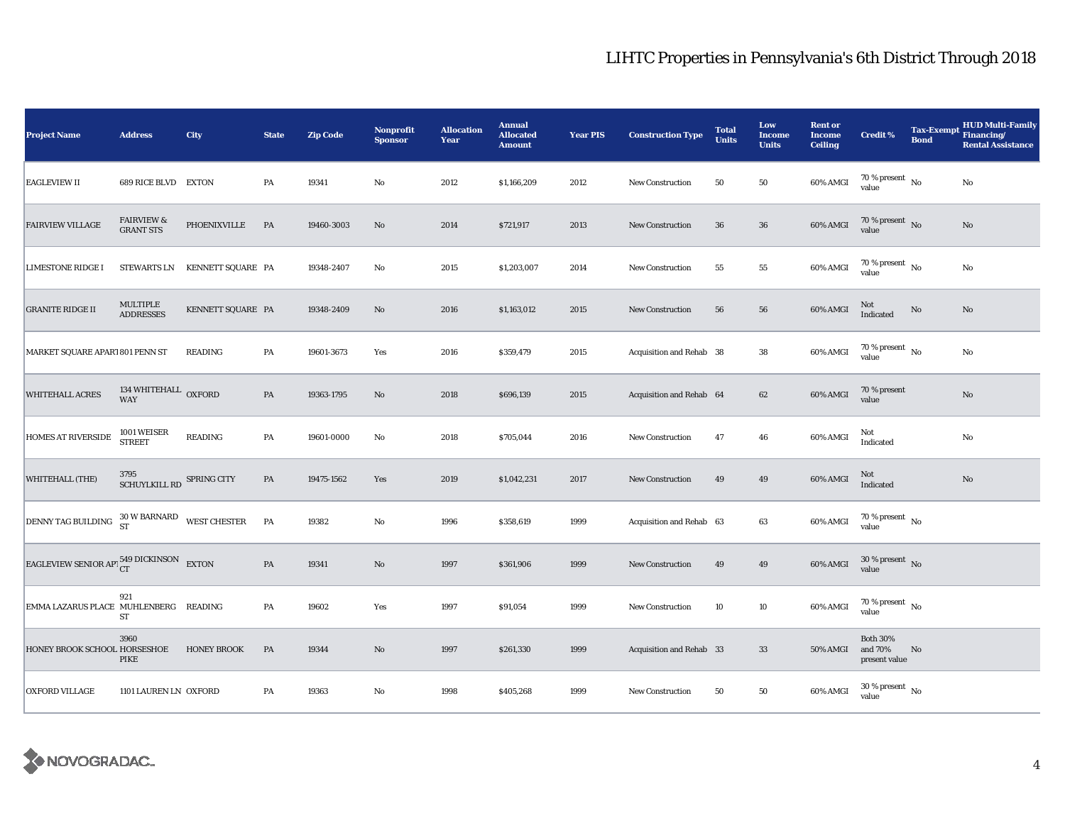| <b>Project Name</b>                                | <b>Address</b>                            | City                                   | <b>State</b>  | <b>Zip Code</b> | <b>Nonprofit</b><br><b>Sponsor</b> | <b>Allocation</b><br>Year | <b>Annual</b><br><b>Allocated</b><br><b>Amount</b> | <b>Year PIS</b> | <b>Construction Type</b> | <b>Total</b><br><b>Units</b> | Low<br><b>Income</b><br><b>Units</b> | <b>Rent or</b><br><b>Income</b><br><b>Ceiling</b> | <b>Credit %</b>                             | <b>Bond</b> | <b>HUD Multi-Family</b><br>Tax-Exempt Financing/<br><b>Rental Assistance</b> |
|----------------------------------------------------|-------------------------------------------|----------------------------------------|---------------|-----------------|------------------------------------|---------------------------|----------------------------------------------------|-----------------|--------------------------|------------------------------|--------------------------------------|---------------------------------------------------|---------------------------------------------|-------------|------------------------------------------------------------------------------|
| <b>EAGLEVIEW II</b>                                | 689 RICE BLVD EXTON                       |                                        | PA            | 19341           | $\mathbf{No}$                      | 2012                      | \$1,166,209                                        | 2012            | <b>New Construction</b>  | 50                           | 50                                   | 60% AMGI                                          | $70\,\%$ present $\,$ No value              |             | No                                                                           |
| <b>FAIRVIEW VILLAGE</b>                            | <b>FAIRVIEW &amp;</b><br><b>GRANT STS</b> | PHOENIXVILLE                           | PA            | 19460-3003      | No                                 | 2014                      | \$721,917                                          | 2013            | <b>New Construction</b>  | 36                           | 36                                   | 60% AMGI                                          | 70 % present $\,$ No $\,$<br>value          |             | No                                                                           |
| <b>LIMESTONE RIDGE I</b>                           | STEWARTS LN                               | KENNETT SQUARE PA                      |               | 19348-2407      | No                                 | 2015                      | \$1,203,007                                        | 2014            | <b>New Construction</b>  | 55                           | 55                                   | 60% AMGI                                          | $70\,\%$ present $\,$ No value              |             | No                                                                           |
| <b>GRANITE RIDGE II</b>                            | MULTIPLE<br><b>ADDRESSES</b>              | KENNETT SQUARE PA                      |               | 19348-2409      | $\mathbf{N}\mathbf{o}$             | 2016                      | \$1,163,012                                        | 2015            | New Construction         | 56                           | 56                                   | 60% AMGI                                          | Not<br>Indicated                            | No          | No                                                                           |
| MARKET SQUARE APARI 801 PENN ST                    |                                           | <b>READING</b>                         | PA            | 19601-3673      | Yes                                | 2016                      | \$359,479                                          | 2015            | Acquisition and Rehab 38 |                              | 38                                   | 60% AMGI                                          | $70\,\%$ present $\,$ No $\,$<br>value      |             | No                                                                           |
| <b>WHITEHALL ACRES</b>                             | 134 WHITEHALL OXFORD<br><b>WAY</b>        |                                        | $\mathbf{PA}$ | 19363-1795      | $\mathbf{No}$                      | 2018                      | \$696,139                                          | 2015            | Acquisition and Rehab 64 |                              | 62                                   | 60% AMGI                                          | 70 % present<br>value                       |             | $\rm No$                                                                     |
| HOMES AT RIVERSIDE                                 | 1001 WEISER<br><b>STREET</b>              | READING                                | PA            | 19601-0000      | No                                 | 2018                      | \$705,044                                          | 2016            | <b>New Construction</b>  | 47                           | 46                                   | 60% AMGI                                          | Not<br>Indicated                            |             | No                                                                           |
| WHITEHALL (THE)                                    | 3795<br>SCHUYLKILL RD SPRING CITY         |                                        | PA            | 19475-1562      | Yes                                | 2019                      | \$1,042,231                                        | 2017            | <b>New Construction</b>  | 49                           | 49                                   | 60% AMGI                                          | Not<br>Indicated                            |             | No                                                                           |
| DENNY TAG BUILDING                                 |                                           | $30$ W BARNARD WEST CHESTER ${\rm ST}$ | PA            | 19382           | No                                 | 1996                      | \$358,619                                          | 1999            | Acquisition and Rehab 63 |                              | $\bf{63}$                            | 60% AMGI                                          | $70\,\%$ present $\,$ No value              |             |                                                                              |
| EAGLEVIEW SENIOR APT $_{CT}^{549}$ DICKINSON EXTON |                                           |                                        | PA            | 19341           | $\mathbf{N}\mathbf{o}$             | 1997                      | \$361,906                                          | 1999            | <b>New Construction</b>  | 49                           | 49                                   | 60% AMGI                                          | $30\,\%$ present $\,$ No value              |             |                                                                              |
| EMMA LAZARUS PLACE MUHLENBERG                      | 921<br>ST                                 | READING                                | PA            | 19602           | Yes                                | 1997                      | \$91,054                                           | 1999            | <b>New Construction</b>  | 10                           | 10                                   | 60% AMGI                                          | $70$ % present $\,$ No $\,$<br>value        |             |                                                                              |
| HONEY BROOK SCHOOL HORSESHOE                       | 3960<br>PIKE                              | <b>HONEY BROOK</b>                     | PA            | 19344           | $\mathbf{N}\mathbf{o}$             | 1997                      | \$261,330                                          | 1999            | Acquisition and Rehab 33 |                              | 33                                   | <b>50% AMGI</b>                                   | <b>Both 30%</b><br>and 70%<br>present value | No          |                                                                              |
| <b>OXFORD VILLAGE</b>                              | 1101 LAUREN LN OXFORD                     |                                        | PA            | 19363           | No                                 | 1998                      | \$405,268                                          | 1999            | New Construction         | 50                           | 50                                   | 60% AMGI                                          | $30\,\%$ present $_{\, \rm No}$<br>value    |             |                                                                              |

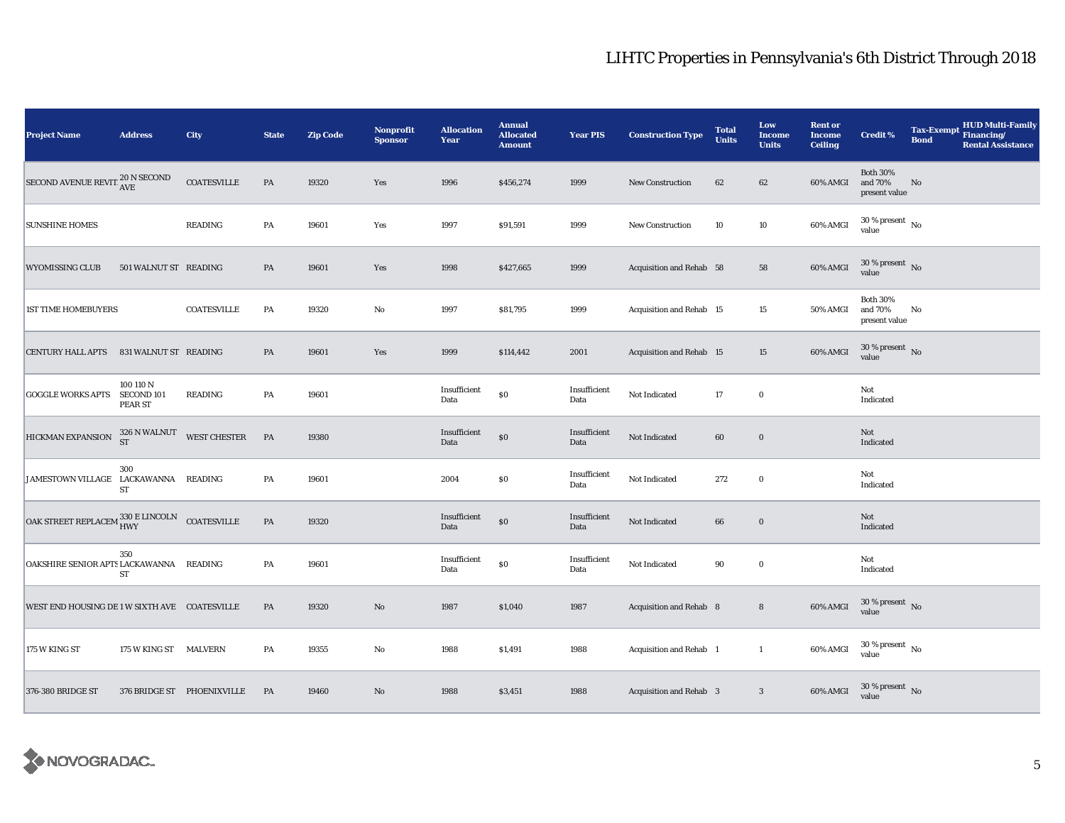| <b>Project Name</b>                                                                                                                            | <b>Address</b>        | City                           | <b>State</b> | <b>Zip Code</b> | Nonprofit<br><b>Sponsor</b> | <b>Allocation</b><br>Year | <b>Annual</b><br><b>Allocated</b><br><b>Amount</b> | <b>Year PIS</b>      | <b>Construction Type</b> | <b>Total</b><br><b>Units</b> | Low<br><b>Income</b><br><b>Units</b> | <b>Rent or</b><br><b>Income</b><br><b>Ceiling</b> | <b>Credit %</b>                             | <b>Tax-Exempt</b><br><b>Bond</b> | HUD Multi-Family<br>Financing/<br><b>Rental Assistance</b> |
|------------------------------------------------------------------------------------------------------------------------------------------------|-----------------------|--------------------------------|--------------|-----------------|-----------------------------|---------------------------|----------------------------------------------------|----------------------|--------------------------|------------------------------|--------------------------------------|---------------------------------------------------|---------------------------------------------|----------------------------------|------------------------------------------------------------|
| SECOND AVENUE REVIT <sup>20</sup> N SECOND                                                                                                     |                       | <b>COATESVILLE</b>             | PA           | 19320           | Yes                         | 1996                      | \$456,274                                          | 1999                 | <b>New Construction</b>  | 62                           | 62                                   | 60% AMGI                                          | <b>Both 30%</b><br>and 70%<br>present value | No                               |                                                            |
| <b>SUNSHINE HOMES</b>                                                                                                                          |                       | <b>READING</b>                 | PA           | 19601           | Yes                         | 1997                      | \$91,591                                           | 1999                 | <b>New Construction</b>  | 10                           | 10                                   | 60% AMGI                                          | $30\,\%$ present $\,$ No $\,$<br>value      |                                  |                                                            |
| <b>WYOMISSING CLUB</b>                                                                                                                         | 501 WALNUT ST READING |                                | PA           | 19601           | Yes                         | 1998                      | \$427,665                                          | 1999                 | Acquisition and Rehab 58 |                              | 58                                   | 60% AMGI                                          | $30\,\%$ present $\,$ No value              |                                  |                                                            |
| <b>1ST TIME HOMEBUYERS</b>                                                                                                                     |                       | <b>COATESVILLE</b>             | PA           | 19320           | $\rm No$                    | 1997                      | \$81,795                                           | 1999                 | Acquisition and Rehab 15 |                              | 15                                   | <b>50% AMGI</b>                                   | <b>Both 30%</b><br>and 70%<br>present value | No                               |                                                            |
| <b>CENTURY HALL APTS</b>                                                                                                                       | 831 WALNUT ST READING |                                | PA           | 19601           | Yes                         | 1999                      | \$114,442                                          | 2001                 | Acquisition and Rehab 15 |                              | 15                                   | 60% AMGI                                          | $30\,\%$ present $\,$ No value              |                                  |                                                            |
| GOGGLE WORKS APTS SECOND 101                                                                                                                   | 100 110 N<br>PEAR ST  | <b>READING</b>                 | PA           | 19601           |                             | Insufficient<br>Data      | $\$0$                                              | Insufficient<br>Data | Not Indicated            | 17                           | $\bf{0}$                             |                                                   | Not<br>Indicated                            |                                  |                                                            |
| HICKMAN EXPANSION                                                                                                                              |                       | $326$ N WALNUT WEST CHESTER ST | PA           | 19380           |                             | Insufficient<br>Data      | $\$0$                                              | Insufficient<br>Data | Not Indicated            | 60                           | $\bf{0}$                             |                                                   | Not<br>Indicated                            |                                  |                                                            |
| JAMESTOWN VILLAGE LACKAWANNA READING                                                                                                           | 300<br>${\rm ST}$     |                                | PA           | 19601           |                             | 2004                      | $\$0$                                              | Insufficient<br>Data | Not Indicated            | 272                          | $\bf{0}$                             |                                                   | Not<br>Indicated                            |                                  |                                                            |
| $\begin{array}{lll} \textbf{OAK STREET REPLACEM} \begin{tabular}{ll} 330 \textbf{ E LINCOLN} & \textbf{COATESVILLE} \end{tabular} \end{array}$ |                       |                                | PA           | 19320           |                             | Insufficient<br>Data      | $\$0$                                              | Insufficient<br>Data | Not Indicated            | 66                           | $\bf{0}$                             |                                                   | Not<br>Indicated                            |                                  |                                                            |
| OAKSHIRE SENIOR APTS LACKAWANNA READING                                                                                                        | 350<br>ST             |                                | PA           | 19601           |                             | Insufficient<br>Data      | $\$0$                                              | Insufficient<br>Data | Not Indicated            | 90                           | $\bf{0}$                             |                                                   | Not<br>Indicated                            |                                  |                                                            |
| WEST END HOUSING DE 1 W SIXTH AVE COATESVILLE                                                                                                  |                       |                                | PA           | 19320           | $\rm No$                    | 1987                      | \$1,040                                            | 1987                 | Acquisition and Rehab 8  |                              | $\bf8$                               | 60% AMGI                                          | 30 % present No<br>value                    |                                  |                                                            |
| 175 W KING ST                                                                                                                                  | 175 W KING ST MALVERN |                                | PA           | 19355           | $\mathbf{No}$               | 1988                      | \$1,491                                            | 1988                 | Acquisition and Rehab 1  |                              | $\mathbf{1}$                         | 60% AMGI                                          | $30\,\%$ present $\,$ No value              |                                  |                                                            |
| 376-380 BRIDGE ST                                                                                                                              |                       | 376 BRIDGE ST PHOENIXVILLE     | <b>PA</b>    | 19460           | $\rm No$                    | 1988                      | \$3,451                                            | 1988                 | Acquisition and Rehab 3  |                              | $\mathbf{3}$                         | 60% AMGI                                          | $30\,\%$ present $\,$ No value              |                                  |                                                            |